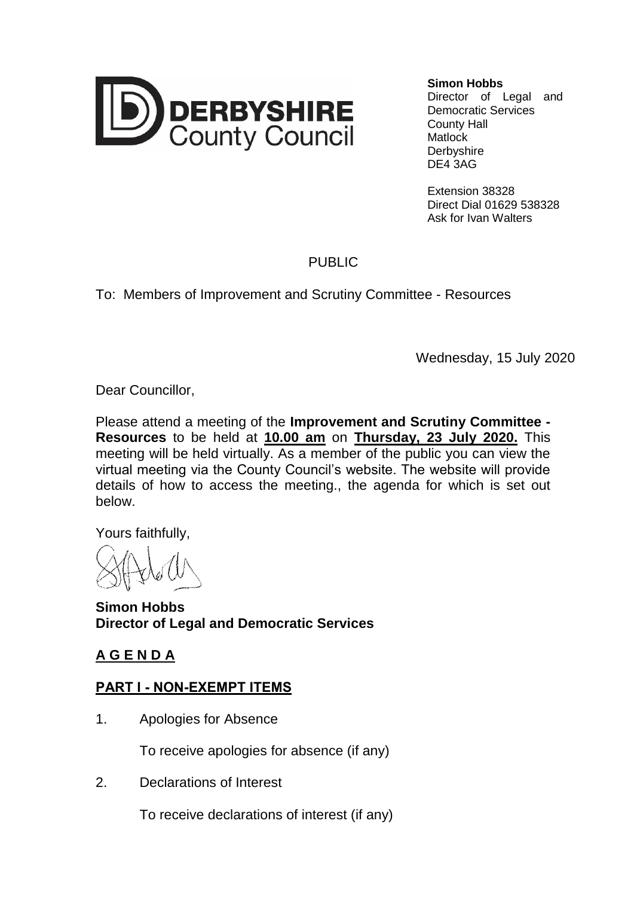

**Simon Hobbs**

Director of Legal and Democratic Services County Hall **Matlock Derbyshire** DE4 3AG

Extension 38328 Direct Dial 01629 538328 Ask for Ivan Walters

## PUBLIC

To: Members of Improvement and Scrutiny Committee - Resources

Wednesday, 15 July 2020

Dear Councillor,

Please attend a meeting of the **Improvement and Scrutiny Committee - Resources** to be held at **10.00 am** on **Thursday, 23 July 2020.** This meeting will be held virtually. As a member of the public you can view the virtual meeting via the County Council's website. The website will provide details of how to access the meeting., the agenda for which is set out below.

Yours faithfully,

**Simon Hobbs Director of Legal and Democratic Services**

## **A G E N D A**

## **PART I - NON-EXEMPT ITEMS**

1. Apologies for Absence

To receive apologies for absence (if any)

2. Declarations of Interest

To receive declarations of interest (if any)